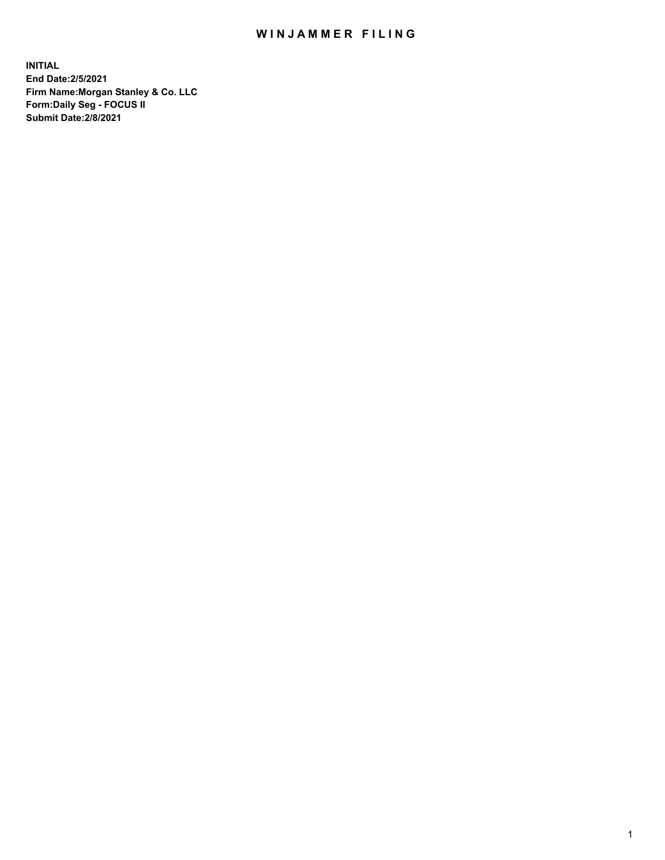## WIN JAMMER FILING

**INITIAL End Date:2/5/2021 Firm Name:Morgan Stanley & Co. LLC Form:Daily Seg - FOCUS II Submit Date:2/8/2021**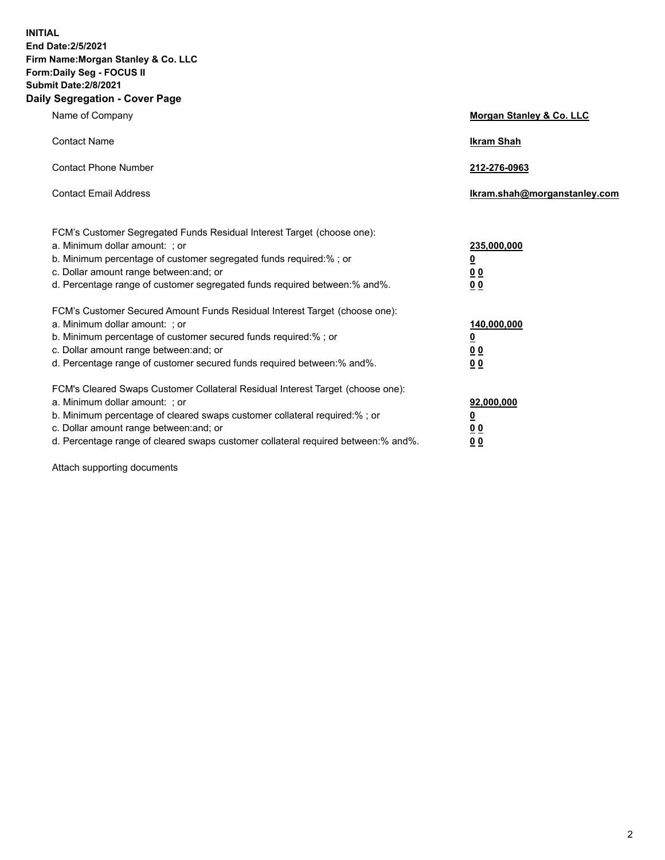**INITIAL End Date:2/5/2021 Firm Name:Morgan Stanley & Co. LLC Form:Daily Seg - FOCUS II Submit Date:2/8/2021 Daily Segregation - Cover Page**

| Name of Company                                                                                                                                                                                                                                                                                                                | Morgan Stanley & Co. LLC                                   |
|--------------------------------------------------------------------------------------------------------------------------------------------------------------------------------------------------------------------------------------------------------------------------------------------------------------------------------|------------------------------------------------------------|
| <b>Contact Name</b>                                                                                                                                                                                                                                                                                                            | <b>Ikram Shah</b>                                          |
| <b>Contact Phone Number</b>                                                                                                                                                                                                                                                                                                    | 212-276-0963                                               |
| <b>Contact Email Address</b>                                                                                                                                                                                                                                                                                                   | lkram.shah@morganstanley.com                               |
| FCM's Customer Segregated Funds Residual Interest Target (choose one):<br>a. Minimum dollar amount: ; or<br>b. Minimum percentage of customer segregated funds required:% ; or<br>c. Dollar amount range between: and; or<br>d. Percentage range of customer segregated funds required between:% and%.                         | 235,000,000<br><u>0</u><br><u>00</u><br>0 <sup>0</sup>     |
| FCM's Customer Secured Amount Funds Residual Interest Target (choose one):<br>a. Minimum dollar amount: ; or<br>b. Minimum percentage of customer secured funds required:%; or<br>c. Dollar amount range between: and; or<br>d. Percentage range of customer secured funds required between:% and%.                            | 140,000,000<br><u>0</u><br><u>0 0</u><br>0 Q               |
| FCM's Cleared Swaps Customer Collateral Residual Interest Target (choose one):<br>a. Minimum dollar amount: ; or<br>b. Minimum percentage of cleared swaps customer collateral required:% ; or<br>c. Dollar amount range between: and; or<br>d. Percentage range of cleared swaps customer collateral required between:% and%. | 92,000,000<br><u>0</u><br>0 <sup>0</sup><br>0 <sub>0</sub> |

Attach supporting documents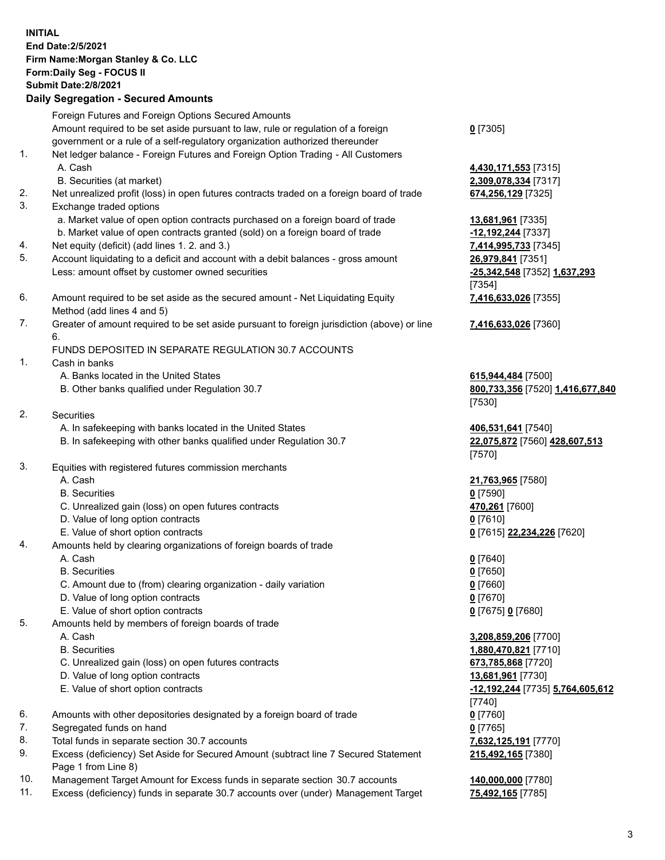## **INITIAL End Date:2/5/2021 Firm Name:Morgan Stanley & Co. LLC Form:Daily Seg - FOCUS II Submit Date:2/8/2021 Daily Segregation - Secured Amounts** Foreign Futures and Foreign Options Secured Amounts Amount required to be set aside pursuant to law, rule or regulation of a foreign

government or a rule of a self-regulatory organization authorized thereunder 1. Net ledger balance - Foreign Futures and Foreign Option Trading - All Customers A. Cash **4,430,171,553** [7315] B. Securities (at market) **2,309,078,334** [7317] 2. Net unrealized profit (loss) in open futures contracts traded on a foreign board of trade **674,256,129** [7325] 3. Exchange traded options a. Market value of open option contracts purchased on a foreign board of trade **13,681,961** [7335] b. Market value of open contracts granted (sold) on a foreign board of trade **-12,192,244** [7337] 4. Net equity (deficit) (add lines 1. 2. and 3.) **7,414,995,733** [7345] 5. Account liquidating to a deficit and account with a debit balances - gross amount **26,979,841** [7351] Less: amount offset by customer owned securities **-25,342,548** [7352] **1,637,293** 6. Amount required to be set aside as the secured amount - Net Liquidating Equity Method (add lines 4 and 5) 7. Greater of amount required to be set aside pursuant to foreign jurisdiction (above) or line 6. FUNDS DEPOSITED IN SEPARATE REGULATION 30.7 ACCOUNTS 1. Cash in banks A. Banks located in the United States **615,944,484** [7500] B. Other banks qualified under Regulation 30.7 **800,733,356** [7520] **1,416,677,840** 2. Securities A. In safekeeping with banks located in the United States **406,531,641** [7540] B. In safekeeping with other banks qualified under Regulation 30.7 **22,075,872** [7560] **428,607,513** 3. Equities with registered futures commission merchants A. Cash **21,763,965** [7580] B. Securities **0** [7590] C. Unrealized gain (loss) on open futures contracts **470,261** [7600] D. Value of long option contracts **0** [7610] E. Value of short option contracts **0** [7615] **22,234,226** [7620]

4. Amounts held by clearing organizations of foreign boards of trade

A. Cash **0** [7640]

B. Securities **0** [7650]

- C. Amount due to (from) clearing organization daily variation **0** [7660]
- D. Value of long option contracts **0** [7670]
- E. Value of short option contracts **0** [7675] **0** [7680]
- 5. Amounts held by members of foreign boards of trade
	-
	-
	- C. Unrealized gain (loss) on open futures contracts **673,785,868** [7720]
	- D. Value of long option contracts **13,681,961** [7730]
	-
- 6. Amounts with other depositories designated by a foreign board of trade **0** [7760]
- 7. Segregated funds on hand **0** [7765]
- 8. Total funds in separate section 30.7 accounts **7,632,125,191** [7770]
- 9. Excess (deficiency) Set Aside for Secured Amount (subtract line 7 Secured Statement Page 1 from Line 8)
- 10. Management Target Amount for Excess funds in separate section 30.7 accounts **140,000,000** [7780]
- 11. Excess (deficiency) funds in separate 30.7 accounts over (under) Management Target **75,492,165** [7785]

**0** [7305]

[7354] **7,416,633,026** [7355]

**7,416,633,026** [7360]

[7530]

[7570]

 A. Cash **3,208,859,206** [7700] B. Securities **1,880,470,821** [7710] E. Value of short option contracts **-12,192,244** [7735] **5,764,605,612** [7740] **215,492,165** [7380]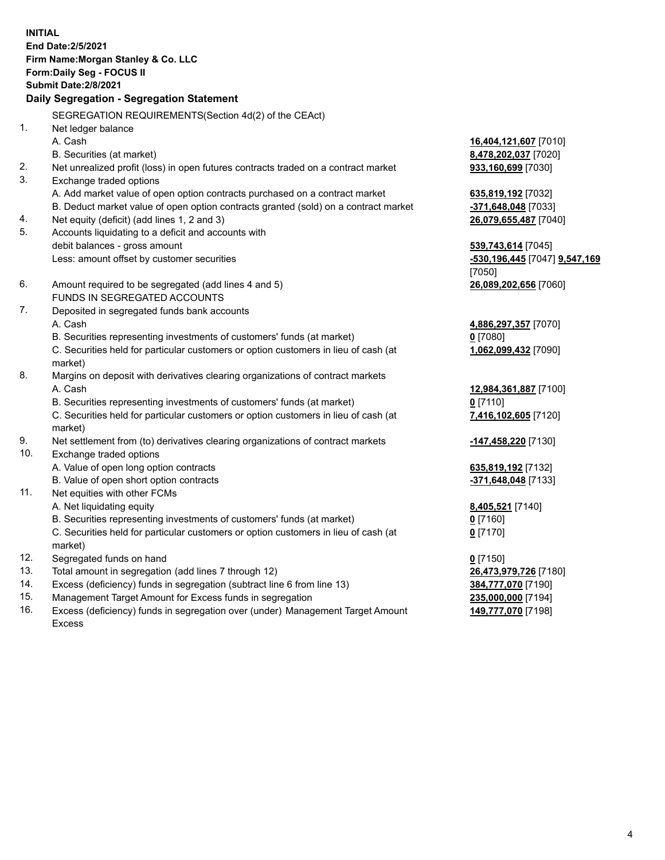**INITIAL End Date:2/5/2021 Firm Name:Morgan Stanley & Co. LLC Form:Daily Seg - FOCUS II Submit Date:2/8/2021 Daily Segregation - Segregation Statement** SEGREGATION REQUIREMENTS(Section 4d(2) of the CEAct) 1. Net ledger balance A. Cash **16,404,121,607** [7010] B. Securities (at market) **8,478,202,037** [7020] 2. Net unrealized profit (loss) in open futures contracts traded on a contract market **933,160,699** [7030] 3. Exchange traded options A. Add market value of open option contracts purchased on a contract market **635,819,192** [7032] B. Deduct market value of open option contracts granted (sold) on a contract market **-371,648,048** [7033] 4. Net equity (deficit) (add lines 1, 2 and 3) **26,079,655,487** [7040] 5. Accounts liquidating to a deficit and accounts with debit balances - gross amount **539,743,614** [7045] Less: amount offset by customer securities **-530,196,445** [7047] **9,547,169** [7050] 6. Amount required to be segregated (add lines 4 and 5) **26,089,202,656** [7060] FUNDS IN SEGREGATED ACCOUNTS 7. Deposited in segregated funds bank accounts A. Cash **4,886,297,357** [7070] B. Securities representing investments of customers' funds (at market) **0** [7080] C. Securities held for particular customers or option customers in lieu of cash (at market) **1,062,099,432** [7090] 8. Margins on deposit with derivatives clearing organizations of contract markets A. Cash **12,984,361,887** [7100] B. Securities representing investments of customers' funds (at market) **0** [7110] C. Securities held for particular customers or option customers in lieu of cash (at market) **7,416,102,605** [7120] 9. Net settlement from (to) derivatives clearing organizations of contract markets **-147,458,220** [7130] 10. Exchange traded options A. Value of open long option contracts **635,819,192** [7132] B. Value of open short option contracts **-371,648,048** [7133] 11. Net equities with other FCMs A. Net liquidating equity **8,405,521** [7140] B. Securities representing investments of customers' funds (at market) **0** [7160] C. Securities held for particular customers or option customers in lieu of cash (at market) **0** [7170] 12. Segregated funds on hand **0** [7150] 13. Total amount in segregation (add lines 7 through 12) **26,473,979,726** [7180] 14. Excess (deficiency) funds in segregation (subtract line 6 from line 13) **384,777,070** [7190] 15. Management Target Amount for Excess funds in segregation **235,000,000** [7194]

16. Excess (deficiency) funds in segregation over (under) Management Target Amount Excess

**149,777,070** [7198]